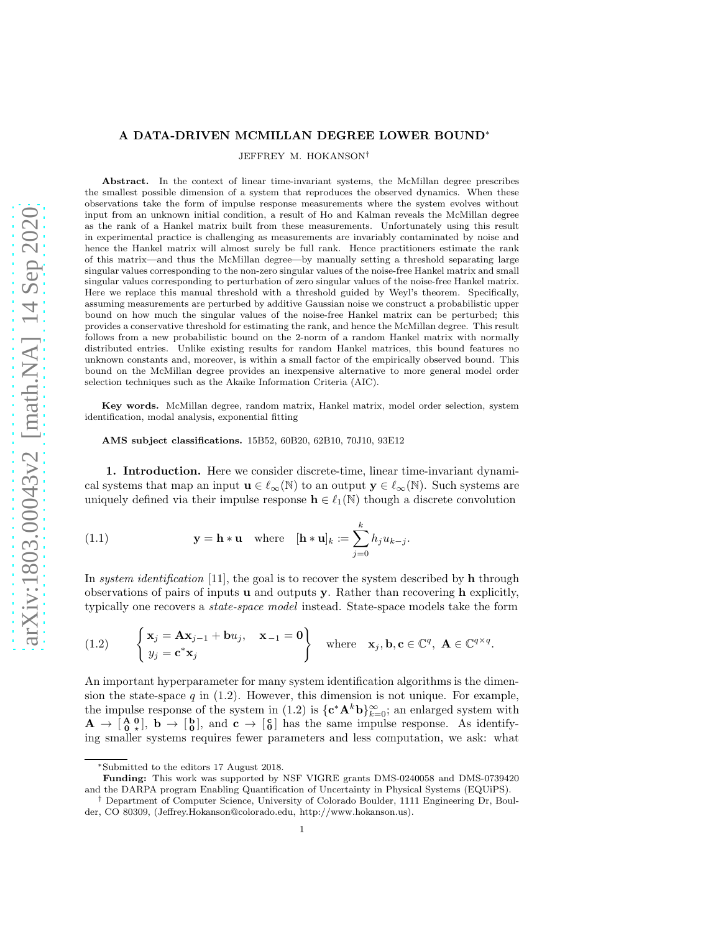## A DATA-DRIVEN MCMILLAN DEGREE LOWER BOUND∗

JEFFREY M. HOKANSON†

Abstract. In the context of linear time-invariant systems, the McMillan degree prescribes the smallest possible dimension of a system that reproduces the observed dynamics. When these observations take the form of impulse response measurements where the system evolves without input from an unknown initial condition, a result of Ho and Kalman reveals the McMillan degree as the rank of a Hankel matrix built from these measurements. Unfortunately using this result in experimental practice is challenging as measurements are invariably contaminated by noise and hence the Hankel matrix will almost surely be full rank. Hence practitioners estimate the rank of this matrix—and thus the McMillan degree—by manually setting a threshold separating large singular values corresponding to the non-zero singular values of the noise-free Hankel matrix and small singular values corresponding to perturbation of zero singular values of the noise-free Hankel matrix. Here we replace this manual threshold with a threshold guided by Weyl's theorem. Specifically, assuming measurements are perturbed by additive Gaussian noise we construct a probabilistic upper bound on how much the singular values of the noise-free Hankel matrix can be perturbed; this provides a conservative threshold for estimating the rank, and hence the McMillan degree. This result follows from a new probabilistic bound on the 2-norm of a random Hankel matrix with normally distributed entries. Unlike existing results for random Hankel matrices, this bound features no unknown constants and, moreover, is within a small factor of the empirically observed bound. This bound on the McMillan degree provides an inexpensive alternative to more general model order selection techniques such as the Akaike Information Criteria (AIC).

Key words. McMillan degree, random matrix, Hankel matrix, model order selection, system identification, modal analysis, exponential fitting

AMS subject classifications. 15B52, 60B20, 62B10, 70J10, 93E12

1. Introduction. Here we consider discrete-time, linear time-invariant dynamical systems that map an input  $\mathbf{u} \in \ell_{\infty}(\mathbb{N})$  to an output  $\mathbf{y} \in \ell_{\infty}(\mathbb{N})$ . Such systems are uniquely defined via their impulse response  $\mathbf{h} \in \ell_1(\mathbb{N})$  though a discrete convolution

(1.1) 
$$
\mathbf{y} = \mathbf{h} * \mathbf{u} \quad \text{where} \quad [\mathbf{h} * \mathbf{u}]_k := \sum_{j=0}^k h_j u_{k-j}.
$$

In system identification [\[11\]](#page-13-0), the goal is to recover the system described by  **through** observations of pairs of inputs  $\bf{u}$  and outputs  $\bf{y}$ . Rather than recovering  $\bf{h}$  explicitly, typically one recovers a state-space model instead. State-space models take the form

<span id="page-0-0"></span>(1.2) 
$$
\begin{cases} \mathbf{x}_j = \mathbf{A}\mathbf{x}_{j-1} + \mathbf{b}u_j, & \mathbf{x}_{-1} = \mathbf{0} \\ y_j = \mathbf{c}^* \mathbf{x}_j & \end{cases}
$$
 where  $\mathbf{x}_j, \mathbf{b}, \mathbf{c} \in \mathbb{C}^q, \mathbf{A} \in \mathbb{C}^{q \times q}.$ 

An important hyperparameter for many system identification algorithms is the dimension the state-space  $q$  in [\(1.2\).](#page-0-0) However, this dimension is not unique. For example, the impulse response of the system in [\(1.2\)](#page-0-0) is  $\{c^*A^k b\}_{k=0}^{\infty}$ ; an enlarged system with  $\mathbf{A} \to \begin{bmatrix} \mathbf{A} & \mathbf{0} \\ \mathbf{0} & \star \end{bmatrix}$ ,  $\mathbf{b} \to \begin{bmatrix} \mathbf{b} \\ \mathbf{0} \end{bmatrix}$ , and  $\mathbf{c} \to \begin{bmatrix} \mathbf{c} \\ \mathbf{0} \end{bmatrix}$  has the same impulse response. As identifying smaller systems requires fewer parameters and less computation, we ask: what

<sup>∗</sup>Submitted to the editors 17 August 2018.

Funding: This work was supported by NSF VIGRE grants DMS-0240058 and DMS-0739420 and the DARPA program Enabling Quantification of Uncertainty in Physical Systems (EQUiPS).

<sup>†</sup> Department of Computer Science, University of Colorado Boulder, 1111 Engineering Dr, Boulder, CO 80309, [\(Jeffrey.Hokanson@colorado.edu,](mailto:Jeffrey.Hokanson@colorado.edu) [http://www.hokanson.us\)](http://www.hokanson.us). 1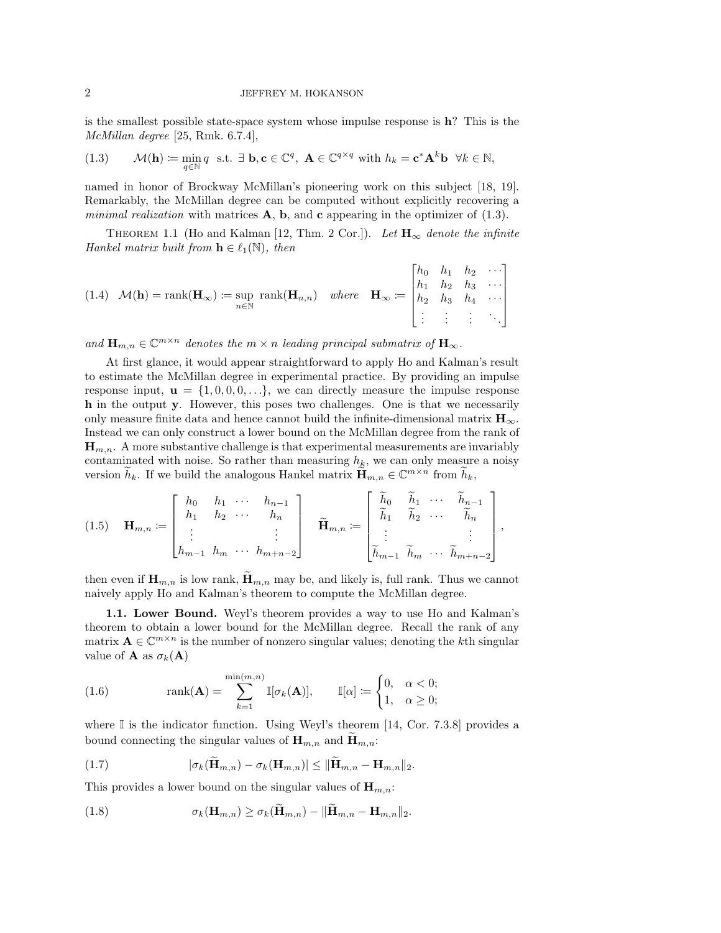is the smallest possible state-space system whose impulse response is h? This is the McMillan degree [\[25,](#page-14-0) Rmk. 6.7.4],

<span id="page-1-0"></span>(1.3) 
$$
\mathcal{M}(\mathbf{h}) \coloneqq \min_{q \in \mathbb{N}} q \text{ s.t. } \exists \mathbf{b}, \mathbf{c} \in \mathbb{C}^q, \ \mathbf{A} \in \mathbb{C}^{q \times q} \text{ with } h_k = \mathbf{c}^* \mathbf{A}^k \mathbf{b} \ \forall k \in \mathbb{N},
$$

named in honor of Brockway McMillan's pioneering work on this subject [\[18,](#page-14-1) [19\]](#page-14-2). Remarkably, the McMillan degree can be computed without explicitly recovering a *minimal realization* with matrices  $\mathbf{A}$ ,  $\mathbf{b}$ , and  $\mathbf{c}$  appearing in the optimizer of [\(1.3\).](#page-1-0)

<span id="page-1-2"></span>THEOREM 1.1 (Ho and Kalman [\[12,](#page-14-3) Thm. 2 Cor.]). Let  $\mathbf{H}_{\infty}$  denote the infinite Hankel matrix built from  $\mathbf{h} \in \ell_1(\mathbb{N})$ , then

(1.4) 
$$
\mathcal{M}(\mathbf{h}) = \text{rank}(\mathbf{H}_{\infty}) := \sup_{n \in \mathbb{N}} \text{ rank}(\mathbf{H}_{n,n}) \quad \text{where} \quad \mathbf{H}_{\infty} := \begin{bmatrix} h_0 & h_1 & h_2 & \cdots \\ h_1 & h_2 & h_3 & \cdots \\ h_2 & h_3 & h_4 & \cdots \\ \vdots & \vdots & \vdots & \ddots \end{bmatrix}
$$

and  $\mathbf{H}_{m,n} \in \mathbb{C}^{m \times n}$  denotes the  $m \times n$  leading principal submatrix of  $\mathbf{H}_{\infty}$ .

At first glance, it would appear straightforward to apply Ho and Kalman's result to estimate the McMillan degree in experimental practice. By providing an impulse response input,  $\mathbf{u} = \{1, 0, 0, 0, \ldots\}$ , we can directly measure the impulse response h in the output y. However, this poses two challenges. One is that we necessarily only measure finite data and hence cannot build the infinite-dimensional matrix  $\mathbf{H}_{\infty}$ . Instead we can only construct a lower bound on the McMillan degree from the rank of  $\mathbf{H}_{m,n}$ . A more substantive challenge is that experimental measurements are invariably contaminated with noise. So rather than measuring  $h_k$ , we can only measure a noisy version  $\tilde{h}_k$ . If we build the analogous Hankel matrix  $\widetilde{\mathbf{H}}_{m,n} \in \mathbb{C}^{m \times n}$  from  $\widetilde{h}_k$ ,

$$
(1.5) \quad \mathbf{H}_{m,n} := \begin{bmatrix} h_0 & h_1 & \cdots & h_{n-1} \\ h_1 & h_2 & \cdots & h_n \\ \vdots & & & \vdots \\ h_{m-1} & h_m & \cdots & h_{m+n-2} \end{bmatrix} \quad \widetilde{\mathbf{H}}_{m,n} := \begin{bmatrix} \widetilde{h}_0 & \widetilde{h}_1 & \cdots & \widetilde{h}_{n-1} \\ \widetilde{h}_1 & \widetilde{h}_2 & \cdots & \widetilde{h}_n \\ \vdots & & & \vdots \\ \widetilde{h}_{m-1} & \widetilde{h}_m & \cdots & \widetilde{h}_{m+n-2} \end{bmatrix},
$$

then even if  $\mathbf{H}_{m,n}$  is low rank,  $\mathbf{H}_{m,n}$  may be, and likely is, full rank. Thus we cannot naively apply Ho and Kalman's theorem to compute the McMillan degree.

1.1. Lower Bound. Weyl's theorem provides a way to use Ho and Kalman's theorem to obtain a lower bound for the McMillan degree. Recall the rank of any matrix  $\mathbf{A} \in \mathbb{C}^{m \times n}$  is the number of nonzero singular values; denoting the kth singular value of **A** as  $\sigma_k(A)$ 

<span id="page-1-1"></span>(1.6) 
$$
\text{rank}(\mathbf{A}) = \sum_{k=1}^{\min(m,n)} \mathbb{I}[\sigma_k(\mathbf{A})], \qquad \mathbb{I}[\alpha] \coloneqq \begin{cases} 0, & \alpha < 0; \\ 1, & \alpha \geq 0; \end{cases}
$$

where  $\mathbb I$  is the indicator function. Using Weyl's theorem [\[14,](#page-14-4) Cor. 7.3.8] provides a bound connecting the singular values of  $\mathbf{H}_{m,n}$  and  $\mathbf{H}_{m,n}$ :

(1.7) 
$$
|\sigma_k(\widetilde{\mathbf{H}}_{m,n}) - \sigma_k(\mathbf{H}_{m,n})| \leq ||\widetilde{\mathbf{H}}_{m,n} - \mathbf{H}_{m,n}||_2.
$$

This provides a lower bound on the singular values of  $\mathbf{H}_{m,n}$ :

(1.8) 
$$
\sigma_k(\mathbf{H}_{m,n}) \geq \sigma_k(\mathbf{H}_{m,n}) - ||\mathbf{H}_{m,n} - \mathbf{H}_{m,n}||_2.
$$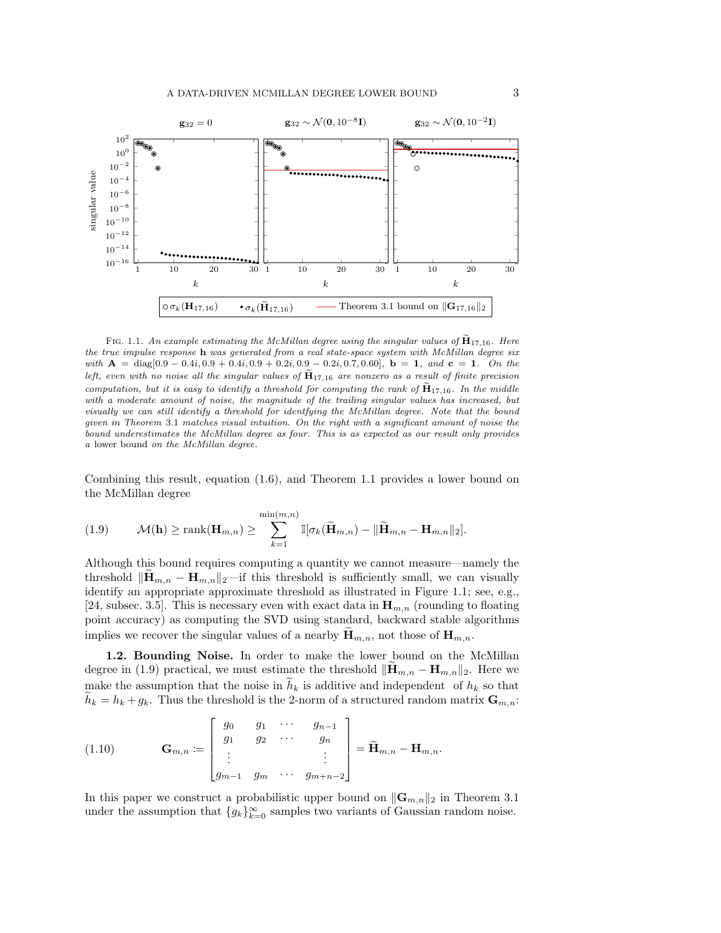<span id="page-2-1"></span><span id="page-2-0"></span>

FIG. 1.1. An example estimating the McMillan degree using the singular values of  $\mathbf{H}_{17,16}$ . Here the true impulse response h was generated from a real state-space system with McMillan degree six with  $A = diag[0.9 - 0.4i, 0.9 + 0.4i, 0.9 + 0.2i, 0.9 - 0.2i, 0.7, 0.60], b = 1, and c = 1. On the$ left, even with no noise all the singular values of  $\mathbf{H}_{17,16}$  are nonzero as a result of finite precision computation, but it is easy to identify a threshold for computing the rank of  $\tilde{H}_{17,16}$ . In the middle with a moderate amount of noise, the magnitude of the trailing singular values has increased, but visually we can still identify a threshold for identfying the McMillan degree. Note that the bound given in [Theorem](#page-6-0) 3.1 matches visual intuition. On the right with a significant amount of noise the bound underestimates the McMillan degree as four. This is as expected as our result only provides a lower bound on the McMillan degree.

Combining this result, equation [\(1.6\),](#page-1-1) and [Theorem 1.1](#page-1-2) provides a lower bound on the McMillan degree

<span id="page-2-2"></span>(1.9) 
$$
\mathcal{M}(\mathbf{h}) \ge \text{rank}(\mathbf{H}_{m,n}) \ge \sum_{k=1}^{\min(m,n)} \mathbb{I}[\sigma_k(\widetilde{\mathbf{H}}_{m,n}) - ||\widetilde{\mathbf{H}}_{m,n} - \mathbf{H}_{m,n}||_2].
$$

Although this bound requires computing a quantity we cannot measure—namely the threshold  $\|\mathbf{H}_{m,n} - \mathbf{H}_{m,n}\|_2$ —if this threshold is sufficiently small, we can visually identify an appropriate approximate threshold as illustrated in [Figure 1.1;](#page-2-1) see, e.g., [\[24,](#page-14-5) subsec. 3.5]. This is necessary even with exact data in  $\mathbf{H}_{m,n}$  (rounding to floating point accuracy) as computing the SVD using standard, backward stable algorithms implies we recover the singular values of a nearby  $\mathbf{H}_{m,n}$ , not those of  $\mathbf{H}_{m,n}$ .

1.2. Bounding Noise. In order to make the lower bound on the McMillan degree in [\(1.9\)](#page-2-2) practical, we must estimate the threshold  $\|\mathbf{H}_{m,n} - \mathbf{H}_{m,n}\|_2$ . Here we make the assumption that the noise in  $h_k$  is additive and independent of  $h_k$  so that  $h_k = h_k + g_k$ . Thus the threshold is the 2-norm of a structured random matrix  $\mathbf{G}_{m,n}$ :

<span id="page-2-3"></span>(1.10) 
$$
\mathbf{G}_{m,n} \coloneqq \begin{bmatrix} g_0 & g_1 & \cdots & g_{n-1} \\ g_1 & g_2 & \cdots & g_n \\ \vdots & & & \vdots \\ g_{m-1} & g_m & \cdots & g_{m+n-2} \end{bmatrix} = \widetilde{\mathbf{H}}_{m,n} - \mathbf{H}_{m,n}.
$$

In this paper we construct a probabilistic upper bound on  $\|\mathbf{G}_{m,n}\|_2$  in [Theorem 3.1](#page-6-0) under the assumption that  ${g_k}_{k=0}^\infty$  samples two variants of Gaussian random noise.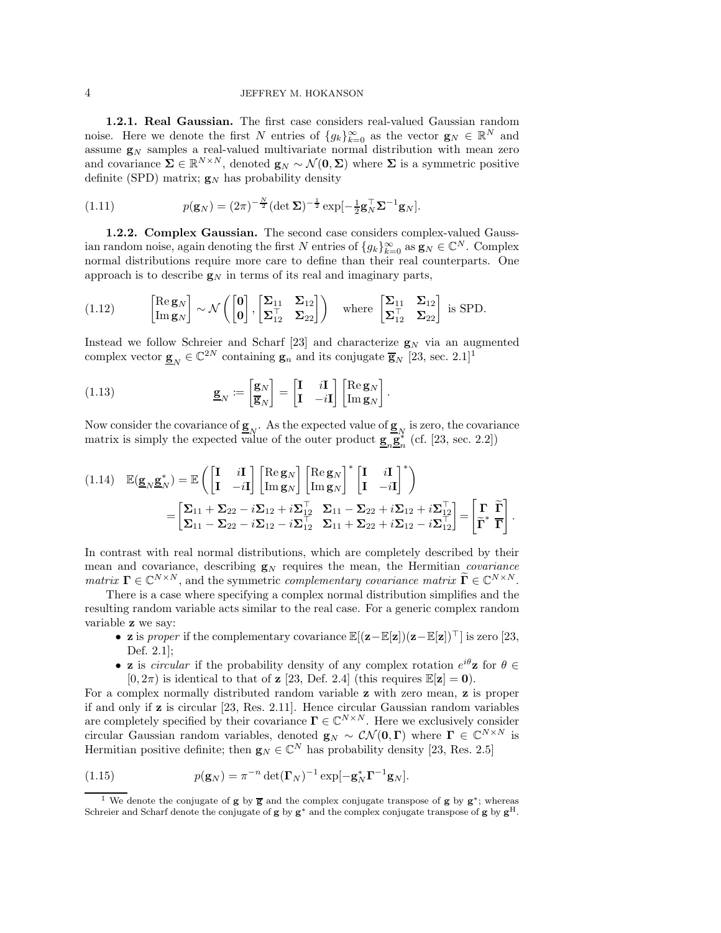## 4 JEFFREY M. HOKANSON

1.2.1. Real Gaussian. The first case considers real-valued Gaussian random noise. Here we denote the first N entries of  $\{g_k\}_{k=0}^{\infty}$  as the vector  $\mathbf{g}_N \in \mathbb{R}^N$  and assume  $g_N$  samples a real-valued multivariate normal distribution with mean zero and covariance  $\Sigma \in \mathbb{R}^{N \times N}$ , denoted  $\mathbf{g}_N \sim \mathcal{N}(\mathbf{0}, \Sigma)$  where  $\Sigma$  is a symmetric positive definite (SPD) matrix;  $\mathbf{g}_N$  has probability density

(1.11) 
$$
p(\mathbf{g}_N) = (2\pi)^{-\frac{N}{2}} (\det \mathbf{\Sigma})^{-\frac{1}{2}} \exp[-\frac{1}{2}\mathbf{g}_N^{\top} \mathbf{\Sigma}^{-1} \mathbf{g}_N].
$$

1.2.2. Complex Gaussian. The second case considers complex-valued Gaussian random noise, again denoting the first N entries of  $\{g_k\}_{k=0}^{\infty}$  as  $\mathbf{g}_N \in \mathbb{C}^N$ . Complex normal distributions require more care to define than their real counterparts. One approach is to describe  $g_N$  in terms of its real and imaginary parts,

(1.12) 
$$
\begin{bmatrix} \text{Re}\,\mathbf{g}_N \\ \text{Im}\,\mathbf{g}_N \end{bmatrix} \sim \mathcal{N}\left(\begin{bmatrix} \mathbf{0} \\ \mathbf{0} \end{bmatrix}, \begin{bmatrix} \boldsymbol{\Sigma}_{11} & \boldsymbol{\Sigma}_{12} \\ \boldsymbol{\Sigma}_{12}^{\top} & \boldsymbol{\Sigma}_{22} \end{bmatrix}\right)
$$
 where  $\begin{bmatrix} \boldsymbol{\Sigma}_{11} & \boldsymbol{\Sigma}_{12} \\ \boldsymbol{\Sigma}_{12}^{\top} & \boldsymbol{\Sigma}_{22} \end{bmatrix}$  is SPD.

Instead we follow Schreier and Scharf [\[23\]](#page-14-6) and characterize  $g_N$  via an augmented complex vector  $\underline{\mathbf{g}}_N \in \mathbb{C}^{2N}$  containing  $\underline{\mathbf{g}}_n$  and its conjugate  $\overline{\mathbf{g}}_N$  [\[23,](#page-14-6) sec. 2.[1](#page-3-0)]<sup>1</sup>

(1.13) 
$$
\underline{\mathbf{g}}_{N} \coloneqq \begin{bmatrix} \mathbf{g}_{N} \\ \overline{\mathbf{g}}_{N} \end{bmatrix} = \begin{bmatrix} \mathbf{I} & i\mathbf{I} \\ \mathbf{I} & -i\mathbf{I} \end{bmatrix} \begin{bmatrix} \text{Re}\,\mathbf{g}_{N} \\ \text{Im}\,\mathbf{g}_{N} \end{bmatrix}
$$

Now consider the covariance of  $\underline{\mathbf{g}}_N$ . As the expected value of  $\underline{\mathbf{g}}_N$  is zero, the covariance matrix is simply the expected value of the outer product  $\underline{\mathbf{g}}_n \underline{\mathbf{g}}_n^*$  (cf. [\[23,](#page-14-6) sec. 2.2])

.

$$
(1.14) \quad \mathbb{E}(\underline{\mathbf{g}}_N \underline{\mathbf{g}}_N^*) = \mathbb{E}\left(\begin{bmatrix} \mathbf{I} & i\mathbf{I} \\ \mathbf{I} & -i\mathbf{I} \end{bmatrix} \begin{bmatrix} \text{Re}\,\underline{\mathbf{g}}_N \\ \text{Im}\,\underline{\mathbf{g}}_N \end{bmatrix}^* \begin{bmatrix} \text{Re}\,\underline{\mathbf{g}}_N \\ \text{Im}\,\underline{\mathbf{g}}_N \end{bmatrix}^* \begin{bmatrix} \mathbf{I} & i\mathbf{I} \\ \mathbf{I} & -i\mathbf{I} \end{bmatrix}^* \right) \n= \begin{bmatrix} \Sigma_{11} + \Sigma_{22} - i\Sigma_{12} + i\Sigma_{12}^\top & \Sigma_{11} - \Sigma_{22} + i\Sigma_{12} + i\Sigma_{12}^\top \\ \Sigma_{11} - \Sigma_{22} - i\Sigma_{12} - i\Sigma_{12}^\top & \Sigma_{11} + \Sigma_{22} + i\Sigma_{12} - i\Sigma_{12}^\top \end{bmatrix} = \begin{bmatrix} \Gamma & \widetilde{\Gamma} \\ \widetilde{\Gamma}^* & \overline{\Gamma} \end{bmatrix}.
$$

In contrast with real normal distributions, which are completely described by their mean and covariance, describing  $g_N$  requires the mean, the Hermitian *covariance* matrix  $\mathbf{\Gamma} \in \mathbb{C}^{N \times N}$ , and the symmetric complementary covariance matrix  $\widetilde{\mathbf{\Gamma}} \in \mathbb{C}^{N \times N}$ .

There is a case where specifying a complex normal distribution simplifies and the resulting random variable acts similar to the real case. For a generic complex random variable z we say:

- **z** is proper if the complementary covariance  $\mathbb{E}[(\mathbf{z}-\mathbb{E}[\mathbf{z}])(\mathbf{z}-\mathbb{E}[\mathbf{z}])^{\top}]$  is zero [\[23,](#page-14-6) Def. 2.1];
- **z** is *circular* if the probability density of any complex rotation  $e^{i\theta}$ **z** for  $\theta \in$  $[0, 2\pi)$  is identical to that of **z** [\[23,](#page-14-6) Def. 2.4] (this requires  $\mathbb{E}[z] = 0$ ).

For a complex normally distributed random variable z with zero mean, z is proper if and only if z is circular [\[23,](#page-14-6) Res. 2.11]. Hence circular Gaussian random variables are completely specified by their covariance  $\Gamma \in \mathbb{C}^{N \times N}$ . Here we exclusively consider circular Gaussian random variables, denoted  $\mathbf{g}_N \sim \mathcal{CN}(\mathbf{0}, \mathbf{\Gamma})$  where  $\mathbf{\Gamma} \in \mathbb{C}^{N \times N}$  is Hermitian positive definite; then  $\mathbf{g}_N \in \mathbb{C}^N$  has probability density [\[23,](#page-14-6) Res. 2.5]

(1.15) 
$$
p(\mathbf{g}_N) = \pi^{-n} \det(\mathbf{\Gamma}_N)^{-1} \exp[-\mathbf{g}_N^* \mathbf{\Gamma}^{-1} \mathbf{g}_N].
$$

<span id="page-3-0"></span><sup>&</sup>lt;sup>1</sup> We denote the conjugate of **g** by  $\overline{g}$  and the complex conjugate transpose of **g** by  $g^*$ ; whereas Schreier and Scharf denote the conjugate of g by  $g^*$  and the complex conjugate transpose of g by  $g^H$ .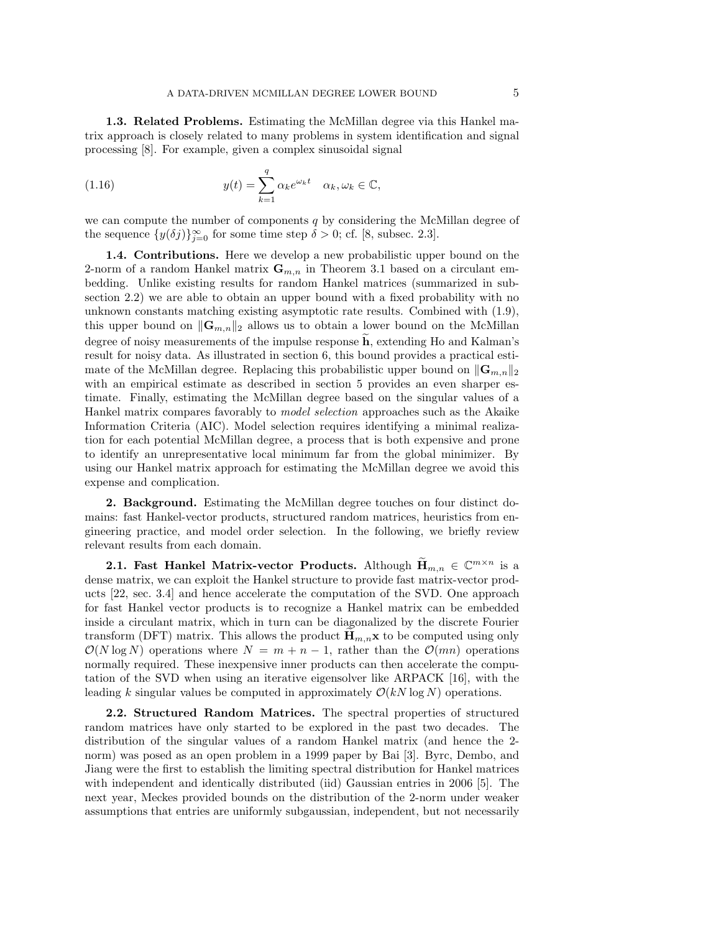<span id="page-4-2"></span>1.3. Related Problems. Estimating the McMillan degree via this Hankel matrix approach is closely related to many problems in system identification and signal processing [\[8\]](#page-13-1). For example, given a complex sinusoidal signal

(1.16) 
$$
y(t) = \sum_{k=1}^{q} \alpha_k e^{\omega_k t} \quad \alpha_k, \omega_k \in \mathbb{C},
$$

we can compute the number of components  $q$  by considering the McMillan degree of the sequence  $\{y(\delta j)\}_{j=0}^{\infty}$  for some time step  $\delta > 0$ ; cf. [\[8,](#page-13-1) subsec. 2.3].

1.4. Contributions. Here we develop a new probabilistic upper bound on the 2-norm of a random Hankel matrix  $\mathbf{G}_{m,n}$  in [Theorem 3.1](#page-6-0) based on a circulant em[bedding. Unlike existing results for random Hankel matrices \(summarized in sub](#page-4-0)section 2.2) we are able to obtain an upper bound with a fixed probability with no unknown constants matching existing asymptotic rate results. Combined with [\(1.9\),](#page-2-2) this upper bound on  $\|\mathbf{G}_{m,n}\|_2$  allows us to obtain a lower bound on the McMillan degree of noisy measurements of the impulse response  $\bf{h}$ , extending Ho and Kalman's result for noisy data. As illustrated in [section 6,](#page-11-0) this bound provides a practical estimate of the McMillan degree. Replacing this probabilistic upper bound on  $\|\mathbf{G}_{m,n}\|_2$ with an empirical estimate as described in [section 5](#page-11-1) provides an even sharper estimate. Finally, estimating the McMillan degree based on the singular values of a Hankel matrix compares favorably to model selection approaches such as the Akaike Information Criteria (AIC). Model selection requires identifying a minimal realization for each potential McMillan degree, a process that is both expensive and prone to identify an unrepresentative local minimum far from the global minimizer. By using our Hankel matrix approach for estimating the McMillan degree we avoid this expense and complication.

2. Background. Estimating the McMillan degree touches on four distinct domains: fast Hankel-vector products, structured random matrices, heuristics from engineering practice, and model order selection. In the following, we briefly review relevant results from each domain.

<span id="page-4-1"></span>**2.1. Fast Hankel Matrix-vector Products.** Although  $\widetilde{\mathbf{H}}_{m,n} \in \mathbb{C}^{m \times n}$  is a dense matrix, we can exploit the Hankel structure to provide fast matrix-vector products [\[22,](#page-14-7) sec. 3.4] and hence accelerate the computation of the SVD. One approach for fast Hankel vector products is to recognize a Hankel matrix can be embedded inside a circulant matrix, which in turn can be diagonalized by the discrete Fourier transform (DFT) matrix. This allows the product  $\mathbf{H}_{m,n}\mathbf{x}$  to be computed using only  $\mathcal{O}(N \log N)$  operations where  $N = m + n - 1$ , rather than the  $\mathcal{O}(mn)$  operations normally required. These inexpensive inner products can then accelerate the computation of the SVD when using an iterative eigensolver like ARPACK [\[16\]](#page-14-8), with the leading k singular values be computed in approximately  $\mathcal{O}(kN \log N)$  operations.

<span id="page-4-0"></span>2.2. Structured Random Matrices. The spectral properties of structured random matrices have only started to be explored in the past two decades. The distribution of the singular values of a random Hankel matrix (and hence the 2 norm) was posed as an open problem in a 1999 paper by Bai [\[3\]](#page-13-2). Byrc, Dembo, and Jiang were the first to establish the limiting spectral distribution for Hankel matrices with independent and identically distributed (iid) Gaussian entries in 2006 [\[5\]](#page-13-3). The next year, Meckes provided bounds on the distribution of the 2-norm under weaker assumptions that entries are uniformly subgaussian, independent, but not necessarily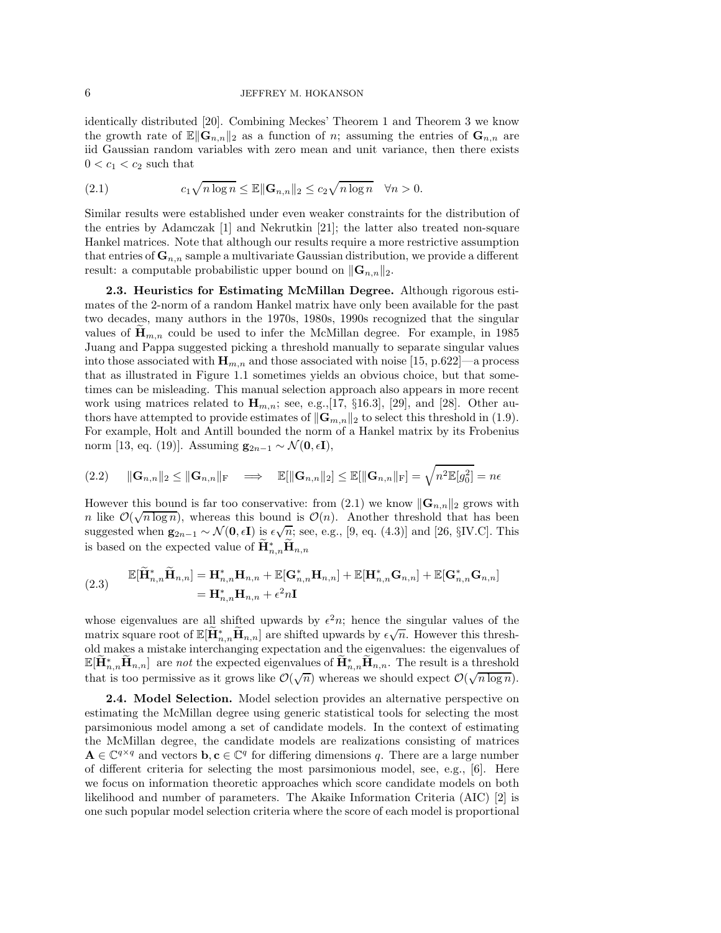identically distributed [\[20\]](#page-14-9). Combining Meckes' Theorem 1 and Theorem 3 we know the growth rate of  $\mathbb{E} \|\mathbf{G}_{n,n}\|_2$  as a function of n; assuming the entries of  $\mathbf{G}_{n,n}$  are iid Gaussian random variables with zero mean and unit variance, then there exists  $0 < c_1 < c_2$  such that

<span id="page-5-0"></span>(2.1) 
$$
c_1 \sqrt{n \log n} \le \mathbb{E} \|\mathbf{G}_{n,n}\|_2 \le c_2 \sqrt{n \log n} \quad \forall n > 0.
$$

Similar results were established under even weaker constraints for the distribution of the entries by Adamczak [\[1\]](#page-13-4) and Nekrutkin [\[21\]](#page-14-10); the latter also treated non-square Hankel matrices. Note that although our results require a more restrictive assumption that entries of  $\mathbf{G}_{n,n}$  sample a multivariate Gaussian distribution, we provide a different result: a computable probabilistic upper bound on  $\|\mathbf{G}_{n,n}\|_2$ .

2.3. Heuristics for Estimating McMillan Degree. Although rigorous estimates of the 2-norm of a random Hankel matrix have only been available for the past two decades, many authors in the 1970s, 1980s, 1990s recognized that the singular values of  $\mathbf{H}_{m,n}$  could be used to infer the McMillan degree. For example, in 1985 Juang and Pappa suggested picking a threshold manually to separate singular values into those associated with  $\mathbf{H}_{m,n}$  and those associated with noise [\[15,](#page-14-11) p.622]—a process that as illustrated in [Figure 1.1](#page-2-1) sometimes yields an obvious choice, but that sometimes can be misleading. This manual selection approach also appears in more recent work using matrices related to  $\mathbf{H}_{m,n}$ ; see, e.g., [\[17,](#page-14-12) §16.3], [\[29\]](#page-14-13), and [\[28\]](#page-14-14). Other authors have attempted to provide estimates of  $\|\mathbf{G}_{m,n}\|_2$  to select this threshold in [\(1.9\).](#page-2-2) For example, Holt and Antill bounded the norm of a Hankel matrix by its Frobenius norm [\[13,](#page-14-15) eq. (19)]. Assuming  $\mathbf{g}_{2n-1} \sim \mathcal{N}(\mathbf{0}, \epsilon \mathbf{I}),$ 

$$
(2.2) \qquad \|\mathbf{G}_{n,n}\|_2 \le \|\mathbf{G}_{n,n}\|_{\mathrm{F}} \quad \Longrightarrow \quad \mathbb{E}[\|\mathbf{G}_{n,n}\|_2] \le \mathbb{E}[\|\mathbf{G}_{n,n}\|_{\mathrm{F}}] = \sqrt{n^2 \mathbb{E}[g_0^2]} = n\epsilon
$$

However this bound is far too conservative: from [\(2.1\)](#page-5-0) we know  $\|\mathbf{G}_{n,n}\|_2$  grows with n like  $\mathcal{O}(\sqrt{n \log n})$ , whereas this bound is  $\mathcal{O}(n)$ . Another threshold that has been suggested when  $\mathbf{g}_{2n-1} \sim \mathcal{N}(\mathbf{0}, \epsilon \mathbf{I})$  is  $\epsilon \sqrt{n}$ ; see, e.g., [\[9,](#page-13-5) eq. (4.3)] and [\[26,](#page-14-16) §IV.C]. This is based on the expected value of  $\mathbf{H}_{n,n}^* \mathbf{H}_{n,n}$ 

(2.3) 
$$
\mathbb{E}[\widetilde{\mathbf{H}}_{n,n}^* \widetilde{\mathbf{H}}_{n,n}] = \mathbf{H}_{n,n}^* \mathbf{H}_{n,n} + \mathbb{E}[\mathbf{G}_{n,n}^* \mathbf{H}_{n,n}] + \mathbb{E}[\mathbf{H}_{n,n}^* \mathbf{G}_{n,n}] + \mathbb{E}[\mathbf{G}_{n,n}^* \mathbf{G}_{n,n}]
$$

$$
= \mathbf{H}_{n,n}^* \mathbf{H}_{n,n} + \epsilon^2 n \mathbf{I}
$$

whose eigenvalues are all shifted upwards by  $\epsilon^2 n$ ; hence the singular values of the matrix square root of  $\mathbb{E}[\widetilde{\mathbf{H}}_{n,n}^* \widetilde{\mathbf{H}}_{n,n}]$  are shifted upwards by  $\epsilon \sqrt{n}$ . However this threshold makes a mistake interchanging expectation and the eigenvalues: the eigenvalues of  $\mathbb{E}[\widetilde{\mathbf{H}}_{n,n}^*, \widetilde{\mathbf{H}}_{n,n}]$  are not the expected eigenvalues of  $\widetilde{\mathbf{H}}_{n,n}^*, \widetilde{\mathbf{H}}_{n,n}$ . The result is a threshold that is too permissive as it grows like  $\mathcal{O}(\sqrt{n})$  whereas we should expect  $\mathcal{O}(\sqrt{n \log n})$ .

2.4. Model Selection. Model selection provides an alternative perspective on estimating the McMillan degree using generic statistical tools for selecting the most parsimonious model among a set of candidate models. In the context of estimating the McMillan degree, the candidate models are realizations consisting of matrices  $A \in \mathbb{C}^{q \times q}$  and vectors  $b, c \in \mathbb{C}^q$  for differing dimensions q. There are a large number of different criteria for selecting the most parsimonious model, see, e.g., [\[6\]](#page-13-6). Here we focus on information theoretic approaches which score candidate models on both likelihood and number of parameters. The Akaike Information Criteria (AIC) [\[2\]](#page-13-7) is one such popular model selection criteria where the score of each model is proportional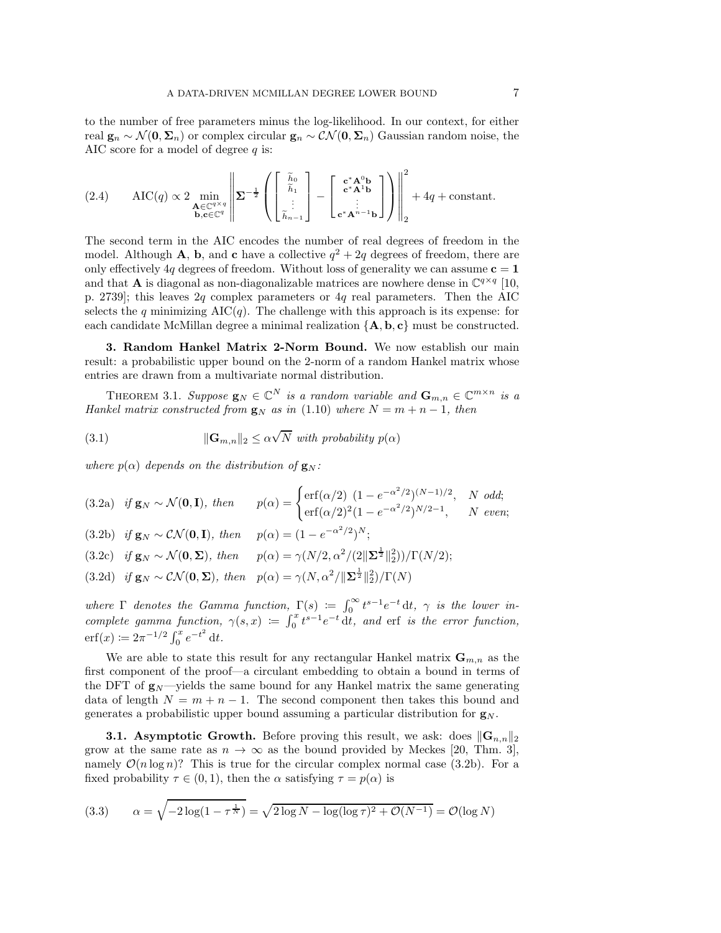to the number of free parameters minus the log-likelihood. In our context, for either real  $\mathbf{g}_n \sim \mathcal{N}(\mathbf{0}, \mathbf{\Sigma}_n)$  or complex circular  $\mathbf{g}_n \sim \mathcal{CN}(\mathbf{0}, \mathbf{\Sigma}_n)$  Gaussian random noise, the AIC score for a model of degree  $q$  is:

(2.4) 
$$
\text{AIC}(q) \propto 2 \min_{\substack{\mathbf{A} \in \mathbb{C}^{q \times q} \\ \mathbf{b}, \mathbf{c} \in \mathbb{C}^q}} \left\| \mathbf{\Sigma}^{-\frac{1}{2}} \left( \begin{bmatrix} \tilde{h}_0 \\ \tilde{h}_1 \\ \vdots \\ \tilde{h}_{n-1} \end{bmatrix} - \begin{bmatrix} \mathbf{c}^* \mathbf{A}^0 \mathbf{b} \\ \mathbf{c}^* \mathbf{A}^1 \mathbf{b} \\ \vdots \\ \mathbf{c}^* \mathbf{A}^{n-1} \mathbf{b} \end{bmatrix} \right) \right\|_2^2 + 4q + \text{constant}.
$$

The second term in the AIC encodes the number of real degrees of freedom in the model. Although **A**, **b**, and **c** have a collective  $q^2 + 2q$  degrees of freedom, there are only effectively 4q degrees of freedom. Without loss of generality we can assume  $c = 1$ and that **A** is diagonal as non-diagonalizable matrices are nowhere dense in  $\mathbb{C}^{q \times q}$  [\[10,](#page-13-8) p. 2739]; this leaves 2q complex parameters or 4q real parameters. Then the AIC selects the q minimizing  $\text{AIC}(q)$ . The challenge with this approach is its expense: for each candidate McMillan degree a minimal realization  ${A, b, c}$  must be constructed.

3. Random Hankel Matrix 2-Norm Bound. We now establish our main result: a probabilistic upper bound on the 2-norm of a random Hankel matrix whose entries are drawn from a multivariate normal distribution.

<span id="page-6-0"></span>THEOREM 3.1. Suppose  $\mathbf{g}_N \in \mathbb{C}^N$  is a random variable and  $\mathbf{G}_{m,n} \in \mathbb{C}^{m \times n}$  is a Hankel matrix constructed from  $\mathbf{g}_N$  as in [\(1.10\)](#page-2-3) where  $N = m + n - 1$ , then

<span id="page-6-2"></span>(3.1) 
$$
\|\mathbf{G}_{m,n}\|_{2} \leq \alpha \sqrt{N} \text{ with probability } p(\alpha)
$$

<span id="page-6-4"></span>where  $p(\alpha)$  depends on the distribution of  $\mathbf{g}_N$ :

<span id="page-6-3"></span><span id="page-6-1"></span>(3.2a) if 
$$
\mathbf{g}_N \sim \mathcal{N}(\mathbf{0}, \mathbf{I})
$$
, then  $p(\alpha) = \begin{cases} \text{erf}(\alpha/2) & (1 - e^{-\alpha^2/2})^{(N-1)/2}, & N \text{ odd}; \\ \text{erf}(\alpha/2)^2(1 - e^{-\alpha^2/2})^{N/2 - 1}, & N \text{ even}; \end{cases}$   
(3.2b) if  $\mathbf{g}_N \sim \mathcal{CN}(\mathbf{0}, \mathbf{I})$ , then  $p(\alpha) = (1 - e^{-\alpha^2/2})^N$ ;  
(3.2c) if  $\mathbf{g}_N \sim \mathcal{N}(\mathbf{0}, \Sigma)$ , then  $p(\alpha) = \gamma(N/2, \alpha^2/(2\|\Sigma^{\frac{1}{2}}\|_2^2))/\Gamma(N/2)$ ;  
(3.2d) if  $\mathbf{g}_N \sim \mathcal{CN}(\mathbf{0}, \Sigma)$ , then  $p(\alpha) = \gamma(N, \alpha^2/\|\Sigma^{\frac{1}{2}}\|_2^2)/\Gamma(N)$ 

where  $\Gamma$  denotes the Gamma function,  $\Gamma(s) := \int_0^\infty t^{s-1} e^{-t} dt$ ,  $\gamma$  is the lower incomplete gamma function,  $\gamma(s,x) := \int_0^x t^{s-1} e^{-t} dt$ , and erf is the error function,  $\operatorname{erf}(x) \coloneqq 2\pi^{-1/2} \int_0^x e^{-t^2} dt.$ 

We are able to state this result for any rectangular Hankel matrix  $\mathbf{G}_{m,n}$  as the first component of the proof—a circulant embedding to obtain a bound in terms of the DFT of  $g_N$ —yields the same bound for any Hankel matrix the same generating data of length  $N = m + n - 1$ . The second component then takes this bound and generates a probabilistic upper bound assuming a particular distribution for  $g_N$ .

**3.1. Asymptotic Growth.** Before proving this result, we ask: does  $\|\mathbf{G}_{n,n}\|_2$ grow at the same rate as  $n \to \infty$  as the bound provided by Meckes [\[20,](#page-14-9) Thm. 3], namely  $\mathcal{O}(n \log n)$ ? This is true for the circular complex normal case [\(3.2b\).](#page-6-1) For a fixed probability  $\tau \in (0,1)$ , then the  $\alpha$  satisfying  $\tau = p(\alpha)$  is

(3.3) 
$$
\alpha = \sqrt{-2\log(1 - \tau^{\frac{1}{N}})} = \sqrt{2\log N - \log(\log \tau)^2 + \mathcal{O}(N^{-1})} = \mathcal{O}(\log N)
$$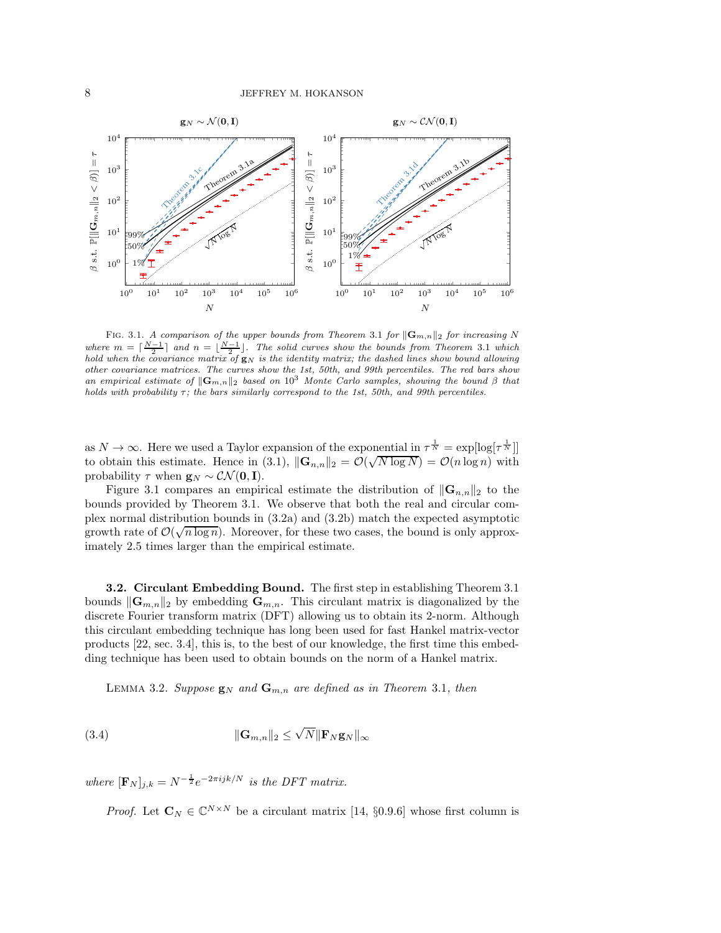<span id="page-7-0"></span>

FIG. 3.1. A comparison of the upper bounds from [Theorem](#page-6-0) 3.1 for  $\|\mathbf{G}_{m,n}\|_2$  for increasing N where  $m = \lceil \frac{N-1}{2} \rceil$  and  $n = \lfloor \frac{N-1}{2} \rfloor$ . The solid curves show the bounds from [Theorem](#page-6-0) 3.1 which hold when the covariance matrix of  $g_N$  is the identity matrix; the dashed lines show bound allowing other covariance matrices. The curves show the 1st, 50th, and 99th percentiles. The red bars show an empirical estimate of  $\|\mathbf{G}_{m,n}\|_2$  based on  $10^3$  Monte Carlo samples, showing the bound  $\beta$  that holds with probability  $\tau$ ; the bars similarly correspond to the 1st, 50th, and 99th percentiles.

as  $N \to \infty$ . Here we used a Taylor expansion of the exponential in  $\tau^{\frac{1}{N}} = \exp[\log[\tau^{\frac{1}{N}}]]$ to obtain this estimate. Hence in [\(3.1\),](#page-6-2)  $\|\mathbf{G}_{n,n}\|_2 = \mathcal{O}(\sqrt{N \log N}) = \mathcal{O}(n \log n)$  with probability  $\tau$  when  $\mathbf{g}_N \sim \mathcal{CN}(\mathbf{0}, \mathbf{I}).$ 

[Figure 3.1](#page-7-0) compares an empirical estimate the distribution of  $\|\mathbf{G}_{n,n}\|_2$  to the bounds provided by [Theorem 3.1.](#page-6-0) We observe that both the real and circular complex normal distribution bounds in [\(3.2a\)](#page-6-3) and [\(3.2b\)](#page-6-1) match the expected asymptotic growth rate of  $\mathcal{O}(\sqrt{n \log n})$ . Moreover, for these two cases, the bound is only approximately 2.5 times larger than the empirical estimate.

3.2. Circulant Embedding Bound. The first step in establishing Theorem [3.1](#page-6-0) bounds  $\|\mathbf{G}_{m,n}\|_2$  by embedding  $\mathbf{G}_{m,n}$ . This circulant matrix is diagonalized by the discrete Fourier transform matrix (DFT) allowing us to obtain its 2-norm. Although this circulant embedding technique has long been used for fast Hankel matrix-vector products [\[22,](#page-14-7) sec. 3.4], this is, to the best of our knowledge, the first time this embedding technique has been used to obtain bounds on the norm of a Hankel matrix.

<span id="page-7-1"></span>LEMMA 3.2. Suppose  $\mathbf{g}_N$  and  $\mathbf{G}_{m,n}$  are defined as in [Theorem](#page-6-0) 3.1, then

(3.4) 
$$
\|\mathbf{G}_{m,n}\|_2 \leq \sqrt{N} \|\mathbf{F}_N \mathbf{g}_N\|_{\infty}
$$

where  $[\mathbf{F}_N]_{j,k} = N^{-\frac{1}{2}} e^{-2\pi i j k/N}$  is the DFT matrix.

*Proof.* Let  $\mathbf{C}_N \in \mathbb{C}^{N \times N}$  be a circulant matrix [\[14,](#page-14-4) §0.9.6] whose first column is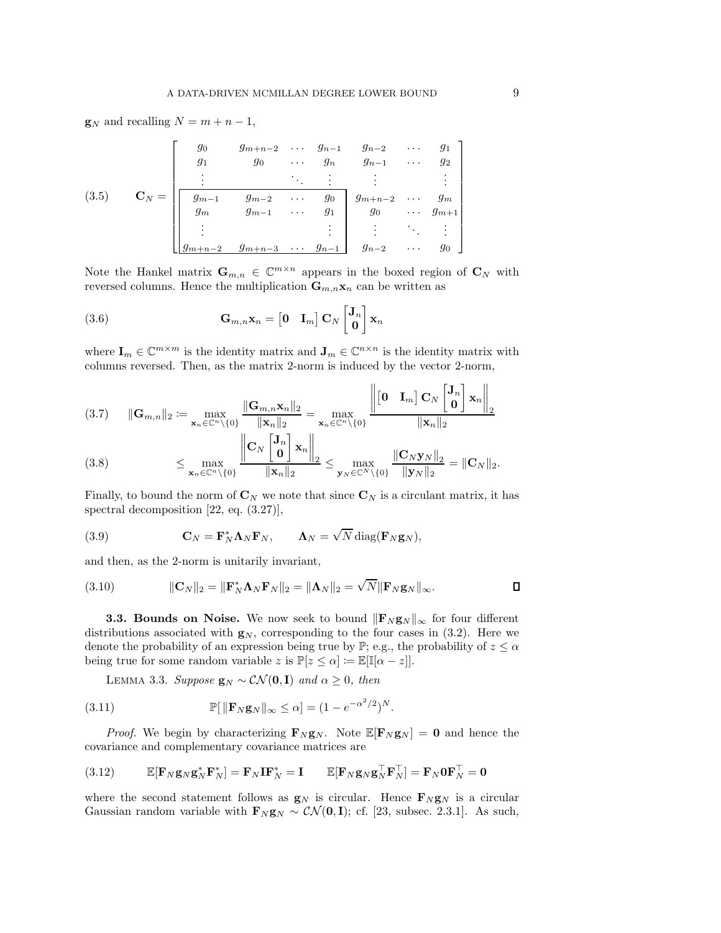$\mathbf{g}_N$  and recalling  $N = m + n - 1$ ,

$$
(3.5) \quad\n\mathbf{C}_{N} = \begin{bmatrix}\ng_0 & g_{m+n-2} & \cdots & g_{n-1} & g_{n-2} & \cdots & g_1 \\
g_1 & g_0 & \cdots & g_n & g_{n-1} & \cdots & g_2 \\
\vdots & \vdots & \ddots & \vdots & \vdots & \vdots \\
g_{m-1} & g_{m-2} & \cdots & g_0 & g_{m+n-2} & \cdots & g_m \\
g_m & g_{m-1} & \cdots & g_1 & g_0 & \cdots & g_{m+1} \\
\vdots & \vdots & \vdots & \vdots & \ddots & \vdots \\
g_{m+n-2} & g_{m+n-3} & \cdots & g_{n-1} & g_{n-2} & \cdots & g_0\n\end{bmatrix}
$$

Note the Hankel matrix  $\mathbf{G}_{m,n} \in \mathbb{C}^{m \times n}$  appears in the boxed region of  $\mathbf{C}_N$  with reversed columns. Hence the multiplication  $\mathbf{G}_{m,n}\mathbf{x}_n$  can be written as

(3.6) 
$$
\mathbf{G}_{m,n}\mathbf{x}_n = \begin{bmatrix} \mathbf{0} & \mathbf{I}_m \end{bmatrix} \mathbf{C}_N \begin{bmatrix} \mathbf{J}_n \\ \mathbf{0} \end{bmatrix} \mathbf{x}_n
$$

where  $\mathbf{I}_m \in \mathbb{C}^{m \times m}$  is the identity matrix and  $\mathbf{J}_m \in \mathbb{C}^{n \times n}$  is the identity matrix with columns reversed. Then, as the matrix 2-norm is induced by the vector 2-norm,

 $\bar{1}$ 

$$
(3.7) \qquad \|\mathbf{G}_{m,n}\|_{2} \coloneqq \max_{\mathbf{x}_{n}\in\mathbb{C}^{n}\backslash\{0\}} \frac{\|\mathbf{G}_{m,n}\mathbf{x}_{n}\|_{2}}{\|\mathbf{x}_{n}\|_{2}} = \max_{\mathbf{x}_{n}\in\mathbb{C}^{n}\backslash\{0\}} \frac{\left\|\begin{bmatrix}0 & \mathbf{I}_{m}\end{bmatrix}\mathbf{C}_{N}\begin{bmatrix}\mathbf{J}_{n} \\ \mathbf{0}\end{bmatrix}\mathbf{x}_{n}\right\|_{2}}{\|\mathbf{x}_{n}\|_{2}}
$$
\n
$$
\|\mathbf{C}_{N}\begin{bmatrix}\mathbf{J}_{n} \\ \mathbf{x}_{n}\end{bmatrix}\mathbf{x}_{n}\|_{2}
$$

$$
(3.8) \qquad \leq \max_{\mathbf{x}_n \in \mathbb{C}^n \setminus \{0\}} \frac{\left\| \mathbf{C}_N \left[ \begin{matrix} \mathbf{v}_n \\ \mathbf{0} \end{matrix} \right] \mathbf{x}_n \right\|_2}{\|\mathbf{x}_n\|_2} \leq \max_{\mathbf{y}_N \in \mathbb{C}^N \setminus \{0\}} \frac{\left\| \mathbf{C}_N \mathbf{y}_N \right\|_2}{\|\mathbf{y}_N\|_2} = \|\mathbf{C}_N\|_2.
$$

Finally, to bound the norm of  $\mathbf{C}_N$  we note that since  $\mathbf{C}_N$  is a circulant matrix, it has spectral decomposition [\[22,](#page-14-7) eq. (3.27)],

(3.9) 
$$
\mathbf{C}_N = \mathbf{F}_N^* \mathbf{\Lambda}_N \mathbf{F}_N, \qquad \mathbf{\Lambda}_N = \sqrt{N} \operatorname{diag}(\mathbf{F}_N \mathbf{g}_N),
$$

and then, as the 2-norm is unitarily invariant,

(3.10) 
$$
\|\mathbf{C}_N\|_2 = \|\mathbf{F}_N^*\mathbf{\Lambda}_N\mathbf{F}_N\|_2 = \|\mathbf{\Lambda}_N\|_2 = \sqrt{N}\|\mathbf{F}_N\mathbf{g}_N\|_{\infty}.
$$

**3.3. Bounds on Noise.** We now seek to bound  $\|\mathbf{F}_N \mathbf{g}_N\|_{\infty}$  for four different distributions associated with  $g_N$ , corresponding to the four cases in [\(3.2\).](#page-6-4) Here we denote the probability of an expression being true by  $\mathbb{P}$ ; e.g., the probability of  $z \leq \alpha$ being true for some random variable z is  $\mathbb{P}[z \leq \alpha] := \mathbb{E}[\mathbb{I}[\alpha - z]].$ 

LEMMA 3.3. Suppose  $\mathbf{g}_N \sim \mathcal{CN}(\mathbf{0}, \mathbf{I})$  and  $\alpha \geq 0$ , then

(3.11) 
$$
\mathbb{P}[\|\mathbf{F}_N \mathbf{g}_N\|_{\infty} \leq \alpha] = (1 - e^{-\alpha^2/2})^N.
$$

*Proof.* We begin by characterizing  $\mathbf{F}_N \mathbf{g}_N$ . Note  $\mathbb{E}[\mathbf{F}_N \mathbf{g}_N] = \mathbf{0}$  and hence the covariance and complementary covariance matrices are

(3.12) 
$$
\mathbb{E}[\mathbf{F}_N \mathbf{g}_N \mathbf{g}_N^* \mathbf{F}_N^*] = \mathbf{F}_N \mathbf{I} \mathbf{F}_N^* = \mathbf{I} \qquad \mathbb{E}[\mathbf{F}_N \mathbf{g}_N \mathbf{g}_N^{\top} \mathbf{F}_N^{\top}] = \mathbf{F}_N \mathbf{0} \mathbf{F}_N^{\top} = \mathbf{0}
$$

where the second statement follows as  $g_N$  is circular. Hence  $\mathbf{F}_N \mathbf{g}_N$  is a circular Gaussian random variable with  $\mathbf{F}_N \mathbf{g}_N \sim \mathcal{CN}(\mathbf{0}, \mathbf{I})$ ; cf. [\[23,](#page-14-6) subsec. 2.3.1]. As such,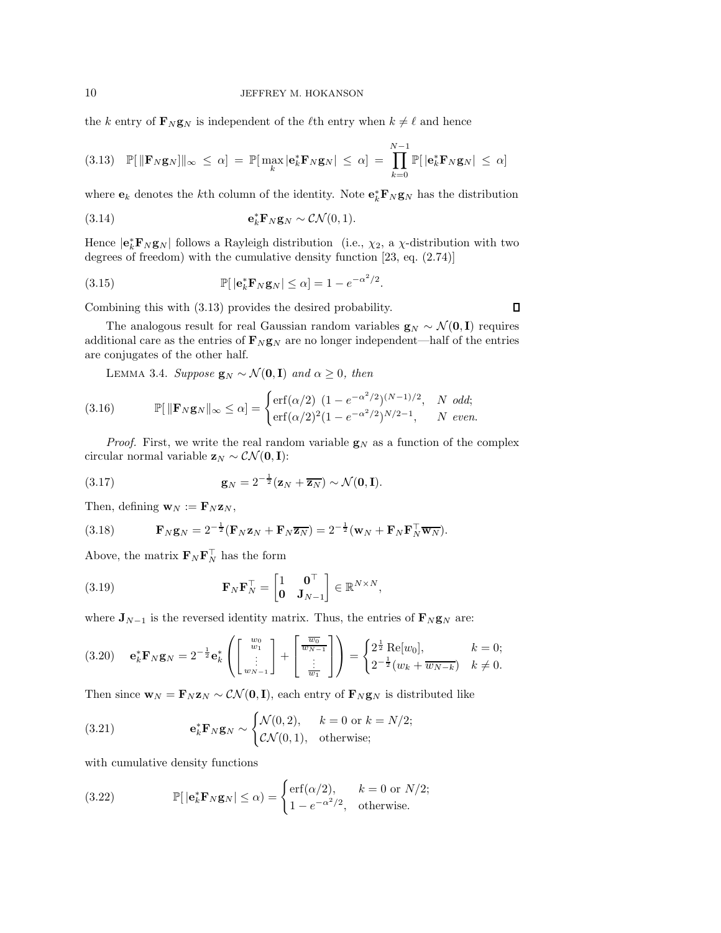the k entry of  $\mathbf{F}_N \mathbf{g}_N$  is independent of the  $\ell$ th entry when  $k \neq \ell$  and hence

<span id="page-9-0"></span>
$$
(3.13) \quad \mathbb{P}[\|\mathbf{F}_N\mathbf{g}_N\|\|_{\infty} \leq \alpha] \ = \ \mathbb{P}[\max_k |\mathbf{e}_k^* \mathbf{F}_N \mathbf{g}_N| \leq \alpha] \ = \ \prod_{k=0}^{N-1} \mathbb{P}[|\mathbf{e}_k^* \mathbf{F}_N \mathbf{g}_N| \leq \alpha]
$$

where  $\mathbf{e}_k$  denotes the *k*<sup>th</sup> column of the identity. Note  $\mathbf{e}_k^* \mathbf{F}_N \mathbf{g}_N$  has the distribution

(3.14) 
$$
\mathbf{e}_k^* \mathbf{F}_N \mathbf{g}_N \sim \mathcal{CN}(0,1).
$$

Hence  $|e_k^* \mathbf{F}_N \mathbf{g}_N|$  follows a Rayleigh distribution (i.e.,  $\chi_2$ , a  $\chi$ -distribution with two degrees of freedom) with the cumulative density function [\[23,](#page-14-6) eq. (2.74)]

(3.15) 
$$
\mathbb{P}[\left|\mathbf{e}_k^*\mathbf{F}_N\mathbf{g}_N\right| \leq \alpha] = 1 - e^{-\alpha^2/2}.
$$

Combining this with [\(3.13\)](#page-9-0) provides the desired probability.

The analogous result for real Gaussian random variables  $\mathbf{g}_N \sim \mathcal{N}(\mathbf{0}, \mathbf{I})$  requires additional care as the entries of  $\mathbf{F}_N \mathbf{g}_N$  are no longer independent—half of the entries are conjugates of the other half.

LEMMA 3.4. Suppose  $\mathbf{g}_N \sim \mathcal{N}(\mathbf{0}, \mathbf{I})$  and  $\alpha \geq 0$ , then

(3.16) 
$$
\mathbb{P}[\|\mathbf{F}_N \mathbf{g}_N\|_{\infty} \leq \alpha] = \begin{cases} \text{erf}(\alpha/2) \ (1 - e^{-\alpha^2/2})^{(N-1)/2}, & N \ odd; \\ \text{erf}(\alpha/2)^2 (1 - e^{-\alpha^2/2})^{N/2 - 1}, & N \ even. \end{cases}
$$

*Proof.* First, we write the real random variable  $g_N$  as a function of the complex circular normal variable  $z_N \sim \mathcal{CN}(\mathbf{0}, \mathbf{I})$ :

(3.17) 
$$
\mathbf{g}_N = 2^{-\frac{1}{2}} (\mathbf{z}_N + \overline{\mathbf{z}_N}) \sim \mathcal{N}(\mathbf{0}, \mathbf{I}).
$$

Then, defining  $\mathbf{w}_N := \mathbf{F}_N \mathbf{z}_N$ ,

(3.18) 
$$
\mathbf{F}_N \mathbf{g}_N = 2^{-\frac{1}{2}} (\mathbf{F}_N \mathbf{z}_N + \mathbf{F}_N \overline{\mathbf{z}_N}) = 2^{-\frac{1}{2}} (\mathbf{w}_N + \mathbf{F}_N \mathbf{F}_N^\top \overline{\mathbf{w}_N}).
$$

Above, the matrix  $\mathbf{F}_N \mathbf{F}_N^{\dagger}$  has the form

(3.19) 
$$
\mathbf{F}_{N}\mathbf{F}_{N}^{\top} = \begin{bmatrix} 1 & \mathbf{0}^{\top} \\ \mathbf{0} & \mathbf{J}_{N-1} \end{bmatrix} \in \mathbb{R}^{N \times N},
$$

where  $\mathbf{J}_{N-1}$  is the reversed identity matrix. Thus, the entries of  $\mathbf{F}_{N} \mathbf{g}_{N}$  are:

<span id="page-9-1"></span>
$$
(3.20) \quad \mathbf{e}_k^* \mathbf{F}_N \mathbf{g}_N = 2^{-\frac{1}{2}} \mathbf{e}_k^* \left( \begin{bmatrix} w_0 \\ w_1 \\ \vdots \\ w_{N-1} \end{bmatrix} + \begin{bmatrix} \frac{\overline{w_0}}{\overline{w_{N-1}}} \\ \vdots \\ \frac{\overline{w_1}}{\overline{w_1}} \end{bmatrix} \right) = \begin{cases} 2^{\frac{1}{2}} \operatorname{Re}[w_0], & k = 0; \\ 2^{-\frac{1}{2}} (w_k + \overline{w_{N-k}}) & k \neq 0. \end{cases}
$$

Then since  $\mathbf{w}_N = \mathbf{F}_N \mathbf{z}_N \sim \mathcal{CN}(\mathbf{0}, \mathbf{I})$ , each entry of  $\mathbf{F}_N \mathbf{g}_N$  is distributed like

(3.21) 
$$
\mathbf{e}_k^* \mathbf{F}_N \mathbf{g}_N \sim \begin{cases} \mathcal{N}(0,2), & k = 0 \text{ or } k = N/2; \\ \mathcal{CN}(0,1), & \text{otherwise}; \end{cases}
$$

with cumulative density functions

<span id="page-9-2"></span>(3.22) 
$$
\mathbb{P}[\left|\mathbf{e}_k^* \mathbf{F}_N \mathbf{g}_N\right| \leq \alpha) = \begin{cases} \text{erf}(\alpha/2), & k = 0 \text{ or } N/2; \\ 1 - e^{-\alpha^2/2}, & \text{otherwise.} \end{cases}
$$

 $\Box$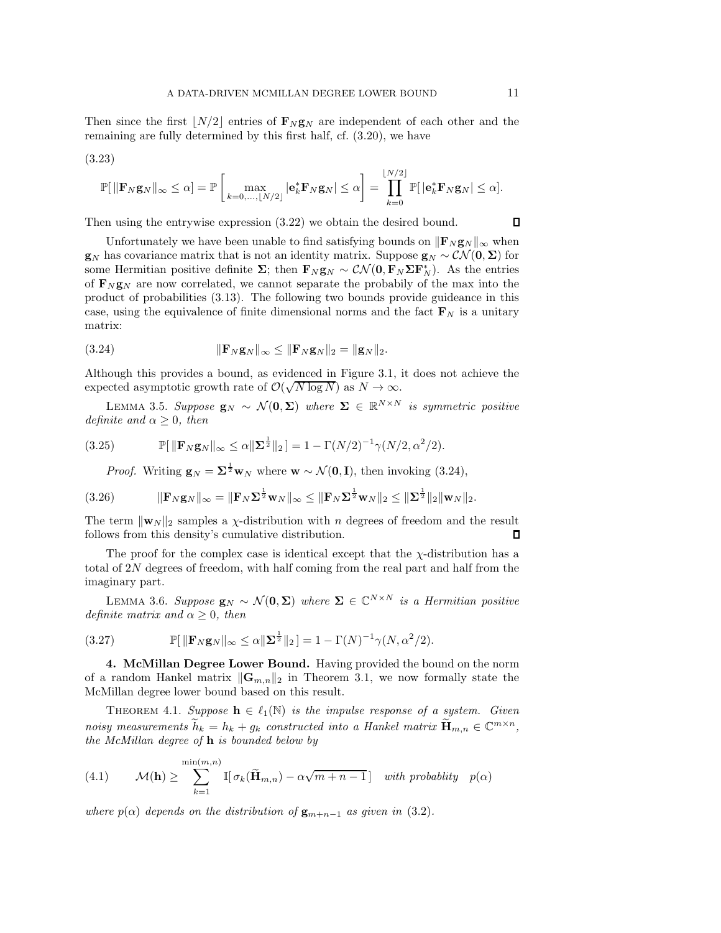Then since the first  $\lfloor N/2 \rfloor$  entries of  $\mathbf{F}_N \mathbf{g}_N$  are independent of each other and the remaining are fully determined by this first half, cf. [\(3.20\),](#page-9-1) we have

(3.23)

$$
\mathbb{P}[\|\mathbf{F}_N\mathbf{g}_N\|_{\infty}\leq \alpha] = \mathbb{P}\left[\max_{k=0,\dots,\lfloor N/2\rfloor}|\mathbf{e}_k^*\mathbf{F}_N\mathbf{g}_N|\leq \alpha\right] = \prod_{k=0}^{\lfloor N/2\rfloor} \mathbb{P}[\left|\mathbf{e}_k^*\mathbf{F}_N\mathbf{g}_N\right|\leq \alpha].
$$

Then using the entrywise expression [\(3.22\)](#page-9-2) we obtain the desired bound.

Unfortunately we have been unable to find satisfying bounds on  $\|\mathbf{F}_N \mathbf{g}_N\|_{\infty}$  when  $g_N$  has covariance matrix that is not an identity matrix. Suppose  $g_N \sim \mathcal{CN}(0, \Sigma)$  for some Hermitian positive definite  $\Sigma$ ; then  $\mathbf{F}_N \mathbf{g}_N \sim \mathcal{CN}(\mathbf{0}, \mathbf{F}_N \Sigma \mathbf{F}_N^*)$ . As the entries of  $\mathbf{F}_N \mathbf{g}_N$  are now correlated, we cannot separate the probabily of the max into the product of probabilities [\(3.13\).](#page-9-0) The following two bounds provide guideance in this case, using the equivalence of finite dimensional norms and the fact  $\mathbf{F}_N$  is a unitary matrix:

<span id="page-10-0"></span>(3.24) 
$$
\|\mathbf{F}_N \mathbf{g}_N\|_{\infty} \le \|\mathbf{F}_N \mathbf{g}_N\|_2 = \|\mathbf{g}_N\|_2.
$$

Although this provides a bound, as evidenced in [Figure 3.1,](#page-7-0) it does not achieve the expected asymptotic growth rate of  $\mathcal{O}(\sqrt{N \log N})$  as  $N \to \infty$ .

LEMMA 3.5. Suppose  $\mathbf{g}_N \sim \mathcal{N}(\mathbf{0}, \mathbf{\Sigma})$  where  $\mathbf{\Sigma} \in \mathbb{R}^{N \times N}$  is symmetric positive definite and  $\alpha \geq 0$ , then

(3.25) 
$$
\mathbb{P}[\|\mathbf{F}_N \mathbf{g}_N\|_{\infty} \leq \alpha \|\mathbf{\Sigma}^{\frac{1}{2}}\|_2] = 1 - \Gamma(N/2)^{-1} \gamma(N/2, \alpha^2/2).
$$

*Proof.* Writing  $\mathbf{g}_N = \Sigma^{\frac{1}{2}} \mathbf{w}_N$  where  $\mathbf{w} \sim \mathcal{N}(\mathbf{0}, \mathbf{I})$ , then invoking [\(3.24\),](#page-10-0)

kF<sup>N</sup> g<sup>N</sup> k<sup>∞</sup> = kF<sup>N</sup> Σ 1 <sup>2</sup> w<sup>N</sup> k<sup>∞</sup> ≤ kF<sup>N</sup> Σ 1 <sup>2</sup> w<sup>N</sup> k<sup>2</sup> ≤ kΣ 1 (3.26) <sup>2</sup> k2kw<sup>N</sup> k2.

The term  $\|\mathbf{w}_N\|_2$  samples a *χ*-distribution with *n* degrees of freedom and the result follows from this density's cumulative distribution follows from this density's cumulative distribution.

The proof for the complex case is identical except that the  $\chi$ -distribution has a total of 2N degrees of freedom, with half coming from the real part and half from the imaginary part.

LEMMA 3.6. Suppose  $\mathbf{g}_N \sim \mathcal{N}(\mathbf{0}, \mathbf{\Sigma})$  where  $\mathbf{\Sigma} \in \mathbb{C}^{N \times N}$  is a Hermitian positive definite matrix and  $\alpha \geq 0$ , then

(3.27) 
$$
\mathbb{P}[\|\mathbf{F}_N \mathbf{g}_N\|_{\infty} \leq \alpha \|\mathbf{\Sigma}^{\frac{1}{2}}\|_2] = 1 - \Gamma(N)^{-1} \gamma(N, \alpha^2/2).
$$

4. McMillan Degree Lower Bound. Having provided the bound on the norm of a random Hankel matrix  $\|\mathbf{G}_{m,n}\|_2$  in [Theorem 3.1,](#page-6-0) we now formally state the McMillan degree lower bound based on this result.

<span id="page-10-1"></span>THEOREM 4.1. Suppose  $\mathbf{h} \in \ell_1(\mathbb{N})$  is the impulse response of a system. Given noisy measurements  $\widetilde{h}_k = h_k + g_k$  constructed into a Hankel matrix  $\widetilde{\mathbf{H}}_{m,n} \in \mathbb{C}^{m \times n}$ , the McMillan degree of  $\bf{h}$  is bounded below by

(4.1) 
$$
\mathcal{M}(\mathbf{h}) \geq \sum_{k=1}^{\min(m,n)} \mathbb{I}[\sigma_k(\widetilde{\mathbf{H}}_{m,n}) - \alpha \sqrt{m+n-1}] \text{ with probability } p(\alpha)
$$

where  $p(\alpha)$  depends on the distribution of  $\mathbf{g}_{m+n-1}$  as given in [\(3.2\)](#page-6-4).

 $\Box$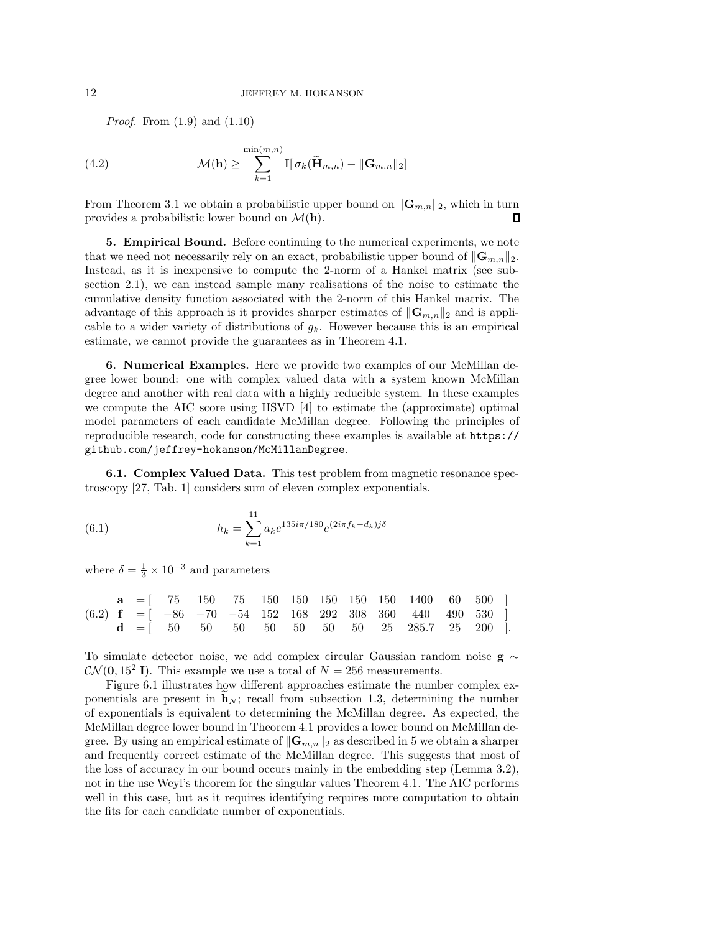*Proof.* From  $(1.9)$  and  $(1.10)$ 

(4.2) 
$$
\mathcal{M}(\mathbf{h}) \geq \sum_{k=1}^{\min(m,n)} \mathbb{I}[\sigma_k(\widetilde{\mathbf{H}}_{m,n}) - ||\mathbf{G}_{m,n}||_2]
$$

From [Theorem 3.1](#page-6-0) we obtain a probabilistic upper bound on  $\|\mathbf{G}_{m,n}\|_2$ , which in turn provides a probabilistic lower bound on  $\mathcal{M}(\mathbf{h})$ . provides a probabilistic lower bound on  $\mathcal{M}(\mathbf{h})$ .

<span id="page-11-1"></span>5. Empirical Bound. Before continuing to the numerical experiments, we note that we need not necessarily rely on an exact, probabilistic upper bound of  $\|\mathbf{G}_{m,n}\|_{2}$ . [Instead, as it is inexpensive to compute the 2-norm of a Hankel matrix \(see sub](#page-4-1)section 2.1), we can instead sample many realisations of the noise to estimate the cumulative density function associated with the 2-norm of this Hankel matrix. The advantage of this approach is it provides sharper estimates of  $\|\mathbf{G}_{m,n}\|_2$  and is applicable to a wider variety of distributions of  $g_k$ . However because this is an empirical estimate, we cannot provide the guarantees as in [Theorem 4.1.](#page-10-1)

<span id="page-11-0"></span>6. Numerical Examples. Here we provide two examples of our McMillan degree lower bound: one with complex valued data with a system known McMillan degree and another with real data with a highly reducible system. In these examples we compute the AIC score using HSVD [\[4\]](#page-13-9) to estimate the (approximate) optimal model parameters of each candidate McMillan degree. Following the principles of reproducible research, code for constructing these examples is available at [https://](https://github.com/jeffrey-hokanson/McMillanDegree) [github.com/jeffrey-hokanson/McMillanDegree](https://github.com/jeffrey-hokanson/McMillanDegree).

<span id="page-11-2"></span>6.1. Complex Valued Data. This test problem from magnetic resonance spectroscopy [\[27,](#page-14-17) Tab. 1] considers sum of eleven complex exponentials.

(6.1) 
$$
h_k = \sum_{k=1}^{11} a_k e^{135i\pi/180} e^{(2i\pi f_k - d_k)j\delta}
$$

where  $\delta = \frac{1}{3} \times 10^{-3}$  and parameters

|  |  |  |  |  | $a = [75 \t 150 \t 75 \t 150 \t 150 \t 150 \t 150 \t 150 \t 1400 \t 60 \t 500]$                                     |  |  |
|--|--|--|--|--|---------------------------------------------------------------------------------------------------------------------|--|--|
|  |  |  |  |  | $(6.2)$ <b>f</b> = $\begin{bmatrix} -86 & -70 & -54 & 152 & 168 & 292 & 308 & 360 & 440 & 490 & 530 \end{bmatrix}$  |  |  |
|  |  |  |  |  | $\mathbf{d} = [ 50 \quad 50 \quad 50 \quad 50 \quad 50 \quad 50 \quad 50 \quad 25 \quad 285.7 \quad 25 \quad 200 ]$ |  |  |

To simulate detector noise, we add complex circular Gaussian random noise g ∼  $\mathcal{CN}(\mathbf{0}, 15^2 \mathbf{I})$ . This example we use a total of  $N = 256$  measurements.

[Figure 6.1](#page-12-0) illustrates how different approaches estimate the number complex exponentials are present in  $\mathbf{h}_N$ ; recall from [subsection 1.3,](#page-4-2) determining the number of exponentials is equivalent to determining the McMillan degree. As expected, the McMillan degree lower bound in [Theorem 4.1](#page-10-1) provides a lower bound on McMillan degree. By using an empirical estimate of  $\|\mathbf{G}_{m,n}\|_2$  as described in [5](#page-11-1) we obtain a sharper and frequently correct estimate of the McMillan degree. This suggests that most of the loss of accuracy in our bound occurs mainly in the embedding step [\(Lemma 3.2\)](#page-7-1), not in the use Weyl's theorem for the singular values [Theorem 4.1.](#page-10-1) The AIC performs well in this case, but as it requires identifying requires more computation to obtain the fits for each candidate number of exponentials.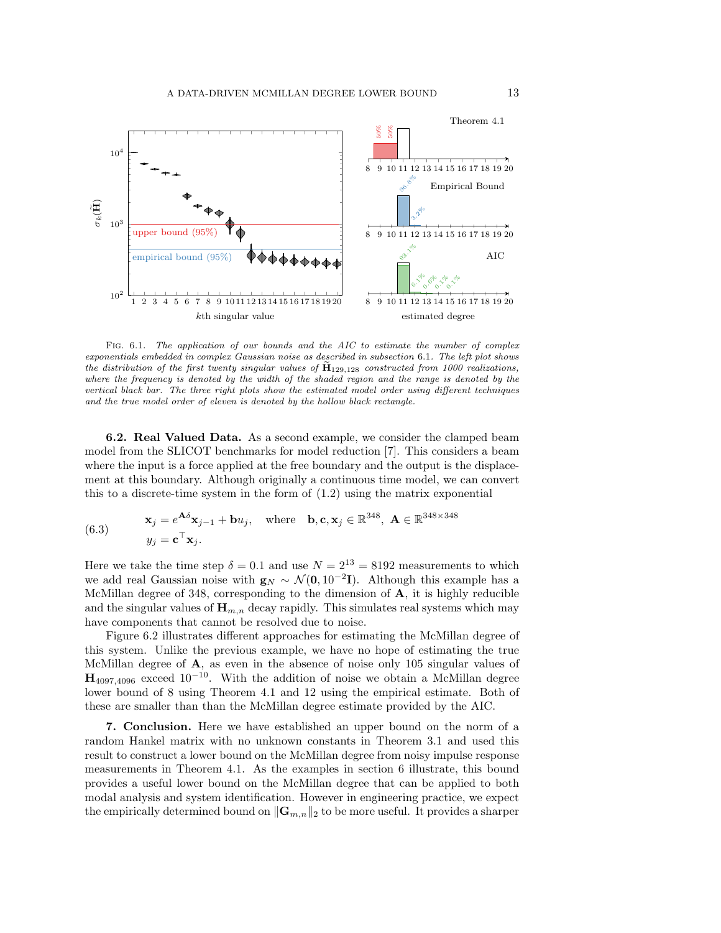<span id="page-12-0"></span>

FIG. 6.1. The application of our bounds and the AIC to estimate the number of complex exponentials embedded in complex Gaussian noise as described in [subsection](#page-11-2) 6.1. The left plot shows the distribution of the first twenty singular values of  $\dot{H}_{129,128}$  constructed from 1000 realizations, where the frequency is denoted by the width of the shaded region and the range is denoted by the vertical black bar. The three right plots show the estimated model order using different techniques and the true model order of eleven is denoted by the hollow black rectangle.

<span id="page-12-1"></span>6.2. Real Valued Data. As a second example, we consider the clamped beam model from the SLICOT benchmarks for model reduction [\[7\]](#page-13-10). This considers a beam where the input is a force applied at the free boundary and the output is the displacement at this boundary. Although originally a continuous time model, we can convert this to a discrete-time system in the form of [\(1.2\)](#page-0-0) using the matrix exponential

(6.3) 
$$
\mathbf{x}_{j} = e^{\mathbf{A}\delta}\mathbf{x}_{j-1} + \mathbf{b}u_{j}, \text{ where } \mathbf{b}, \mathbf{c}, \mathbf{x}_{j} \in \mathbb{R}^{348}, \mathbf{A} \in \mathbb{R}^{348 \times 348}
$$

$$
y_{j} = \mathbf{c}^{\top}\mathbf{x}_{j}.
$$

Here we take the time step  $\delta = 0.1$  and use  $N = 2^{13} = 8192$  measurements to which we add real Gaussian noise with  $\mathbf{g}_N \sim \mathcal{N}(\mathbf{0}, 10^{-2}\mathbf{I})$ . Although this example has a McMillan degree of 348, corresponding to the dimension of  $A$ , it is highly reducible and the singular values of  $\mathbf{H}_{m,n}$  decay rapidly. This simulates real systems which may have components that cannot be resolved due to noise.

[Figure 6.2](#page-13-11) illustrates different approaches for estimating the McMillan degree of this system. Unlike the previous example, we have no hope of estimating the true McMillan degree of A, as even in the absence of noise only 105 singular values of  $H_{4097,4096}$  exceed  $10^{-10}$ . With the addition of noise we obtain a McMillan degree lower bound of 8 using [Theorem 4.1](#page-10-1) and 12 using the empirical estimate. Both of these are smaller than than the McMillan degree estimate provided by the AIC.

7. Conclusion. Here we have established an upper bound on the norm of a random Hankel matrix with no unknown constants in [Theorem 3.1](#page-6-0) and used this result to construct a lower bound on the McMillan degree from noisy impulse response measurements in [Theorem 4.1.](#page-10-1) As the examples in [section 6](#page-11-0) illustrate, this bound provides a useful lower bound on the McMillan degree that can be applied to both modal analysis and system identification. However in engineering practice, we expect the empirically determined bound on  $\|\mathbf{G}_{m,n}\|_2$  to be more useful. It provides a sharper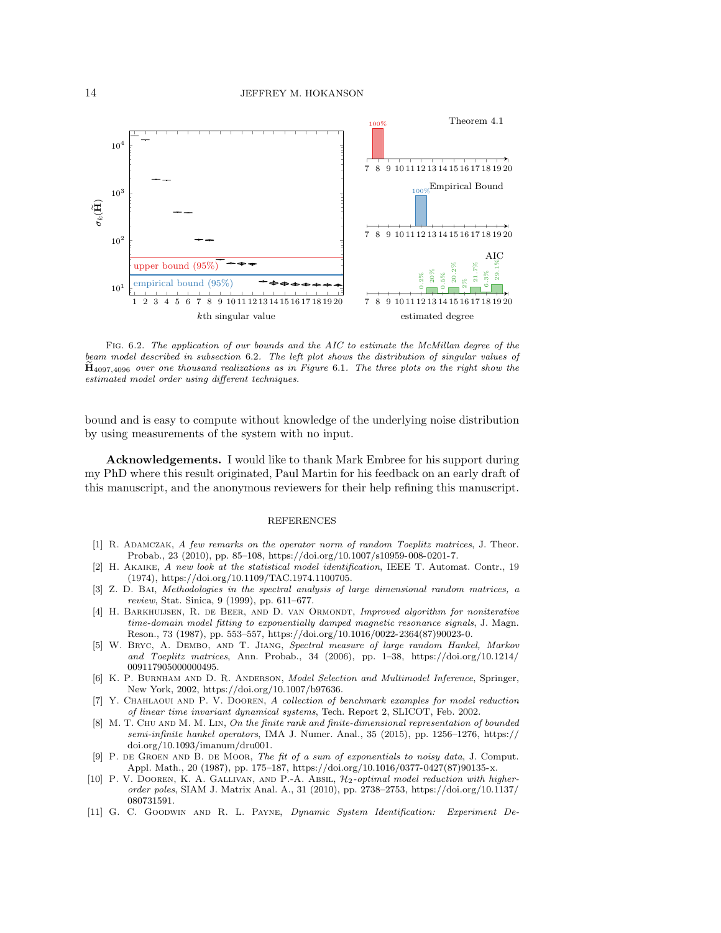<span id="page-13-11"></span>

Fig. 6.2. The application of our bounds and the AIC to estimate the McMillan degree of the beam model described in [subsection](#page-12-1) 6.2. The left plot shows the distribution of singular values of  $\dot{H}_{4097,4096}$  over one thousand realizations as in [Figure](#page-12-0) 6.1. The three plots on the right show the estimated model order using different techniques.

bound and is easy to compute without knowledge of the underlying noise distribution by using measurements of the system with no input.

Acknowledgements. I would like to thank Mark Embree for his support during my PhD where this result originated, Paul Martin for his feedback on an early draft of this manuscript, and the anonymous reviewers for their help refining this manuscript.

## REFERENCES

- <span id="page-13-4"></span>[1] R. Adamczak, A few remarks on the operator norm of random Toeplitz matrices, J. Theor. Probab., 23 (2010), pp. 85–108, [https://doi.org/10.1007/s10959-008-0201-7.](https://doi.org/10.1007/s10959-008-0201-7)
- <span id="page-13-7"></span>[2] H. Akaike, A new look at the statistical model identification, IEEE T. Automat. Contr., 19 (1974), [https://doi.org/10.1109/TAC.1974.1100705.](https://doi.org/10.1109/TAC.1974.1100705)
- <span id="page-13-2"></span>[3] Z. D. BAI, Methodologies in the spectral analysis of large dimensional random matrices, a review, Stat. Sinica, 9 (1999), pp. 611–677.
- <span id="page-13-9"></span>[4] H. BARKHUIJSEN, R. DE BEER, AND D. VAN ORMONDT, *Improved algorithm for noniterative* time-domain model fitting to exponentially damped magnetic resonance signals, J. Magn. Reson., 73 (1987), pp. 553–557, [https://doi.org/10.1016/0022-2364\(87\)90023-0.](https://doi.org/10.1016/0022-2364(87)90023-0)
- <span id="page-13-3"></span>[5] W. BRYC, A. DEMBO, AND T. JIANG, Spectral measure of large random Hankel, Markov and Toeplitz matrices, Ann. Probab., 34 (2006), pp. 1–38, [https://doi.org/10.1214/](https://doi.org/10.1214/009117905000000495) [009117905000000495.](https://doi.org/10.1214/009117905000000495)
- <span id="page-13-6"></span>[6] K. P. Burnham and D. R. Anderson, Model Selection and Multimodel Inference, Springer, New York, 2002, [https://doi.org/10.1007/b97636.](https://doi.org/10.1007/b97636)
- <span id="page-13-10"></span>[7] Y. Chahlaoui and P. V. Dooren, A collection of benchmark examples for model reduction of linear time invariant dynamical systems, Tech. Report 2, SLICOT, Feb. 2002.
- <span id="page-13-1"></span>[8] M. T. CHU AND M. M. LIN, On the finite rank and finite-dimensional representation of bounded semi-infinite hankel operators, IMA J. Numer. Anal., 35 (2015), pp. 1256–1276, [https://](https://doi.org/10.1093/imanum/dru001) [doi.org/10.1093/imanum/dru001.](https://doi.org/10.1093/imanum/dru001)
- <span id="page-13-5"></span>[9] P. de Groen and B. de Moor, The fit of a sum of exponentials to noisy data, J. Comput. Appl. Math., 20 (1987), pp. 175–187, [https://doi.org/10.1016/0377-0427\(87\)90135-x.](https://doi.org/10.1016/0377-0427(87)90135-x)
- <span id="page-13-8"></span>[10] P. V. DOOREN, K. A. GALLIVAN, AND P.-A. ABSIL,  $\mathcal{H}_2$ -optimal model reduction with higherorder poles, SIAM J. Matrix Anal. A., 31 (2010), pp. 2738–2753, [https://doi.org/10.1137/](https://doi.org/10.1137/080731591) [080731591.](https://doi.org/10.1137/080731591)
- <span id="page-13-0"></span>[11] G. C. Goodwin and R. L. Payne, Dynamic System Identification: Experiment De-